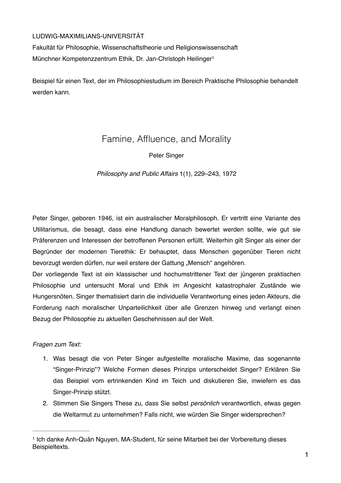## LUDWIG-MAXIMILIANS-UNIVERSITÄT

Fakultät für Philosophie, Wissenschaftstheorie und Religionswissenschaft Münchner Kompetenzzentrum Ethik, Dr. Jan-Christoph Heilinger1

Beispiel für einen Text, der im Philosophiestudium im Bereich Praktische Philosophie behandelt werden kann.

## Famine, Affluence, and Morality

Peter Singer

*Philosophy and Public Affairs* 1(1), 229–243, 1972

Peter Singer, geboren 1946, ist ein australischer Moralphilosoph. Er vertritt eine Variante des Utilitarismus, die besagt, dass eine Handlung danach bewertet werden sollte, wie gut sie Präferenzen und Interessen der betroffenen Personen erfüllt. Weiterhin gilt Singer als einer der Begründer der modernen Tierethik: Er behauptet, dass Menschen gegenüber Tieren nicht bevorzugt werden dürfen, nur weil erstere der Gattung "Mensch" angehören.

Der vorliegende Text ist ein klassischer und hochumstrittener Text der jüngeren praktischen Philosophie und untersucht Moral und Ethik im Angesicht katastrophaler Zustände wie Hungersnöten. Singer thematisiert darin die individuelle Verantwortung eines jeden Akteurs, die Forderung nach moralischer Unparteilichkeit über alle Grenzen hinweg und verlangt einen Bezug der Philosophie zu aktuellen Geschehnissen auf der Welt.

## *Fragen zum Text:*

- 1. Was besagt die von Peter Singer aufgestellte moralische Maxime, das sogenannte "Singer-Prinzip"? Welche Formen dieses Prinzips unterscheidet Singer? Erklären Sie das Beispiel vom ertrinkenden Kind im Teich und diskutieren Sie, inwiefern es das Singer-Prinzip stützt.
- 2. Stimmen Sie Singers These zu, dass Sie selbst *persönlich* verantwortlich, etwas gegen die Weltarmut zu unternehmen? Falls nicht, wie würden Sie Singer widersprechen?

Ich danke Anh-Quân Nguyen, MA-Student, für seine Mitarbeit bei der Vorbereitung dieses 1 Beispieltexts.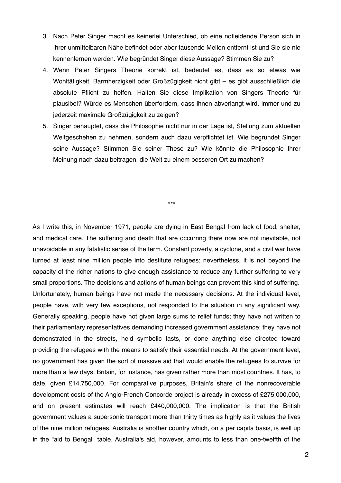- 3. Nach Peter Singer macht es keinerlei Unterschied, ob eine notleidende Person sich in Ihrer unmittelbaren Nähe befindet oder aber tausende Meilen entfernt ist und Sie sie nie kennenlernen werden. Wie begründet Singer diese Aussage? Stimmen Sie zu?
- 4. Wenn Peter Singers Theorie korrekt ist, bedeutet es, dass es so etwas wie Wohltätigkeit, Barmherzigkeit oder Großzügigkeit nicht gibt – es gibt ausschließlich die absolute Pflicht zu helfen. Halten Sie diese Implikation von Singers Theorie für plausibel? Würde es Menschen überfordern, dass ihnen abverlangt wird, immer und zu jederzeit maximale Großzügigkeit zu zeigen?
- 5. Singer behauptet, dass die Philosophie nicht nur in der Lage ist, Stellung zum aktuellen Weltgeschehen zu nehmen, sondern auch dazu verpflichtet ist. Wie begründet Singer seine Aussage? Stimmen Sie seiner These zu? Wie könnte die Philosophie Ihrer Meinung nach dazu beitragen, die Welt zu einem besseren Ort zu machen?

\*\*\*

As I write this, in November 1971, people are dying in East Bengal from lack of food, shelter, and medical care. The suffering and death that are occurring there now are not inevitable, not unavoidable in any fatalistic sense of the term. Constant poverty, a cyclone, and a civil war have turned at least nine million people into destitute refugees; nevertheless, it is not beyond the capacity of the richer nations to give enough assistance to reduce any further suffering to very small proportions. The decisions and actions of human beings can prevent this kind of suffering. Unfortunately, human beings have not made the necessary decisions. At the individual level, people have, with very few exceptions, not responded to the situation in any significant way. Generally speaking, people have not given large sums to relief funds; they have not written to their parliamentary representatives demanding increased government assistance; they have not demonstrated in the streets, held symbolic fasts, or done anything else directed toward providing the refugees with the means to satisfy their essential needs. At the government level, no government has given the sort of massive aid that would enable the refugees to survive for more than a few days. Britain, for instance, has given rather more than most countries. It has, to date, given £14,750,000. For comparative purposes, Britain's share of the nonrecoverable development costs of the Anglo-French Concorde project is already in excess of £275,000,000, and on present estimates will reach £440,000,000. The implication is that the British government values a supersonic transport more than thirty times as highly as it values the lives of the nine million refugees. Australia is another country which, on a per capita basis, is well up in the "aid to Bengal" table. Australia's aid, however, amounts to less than one-twelfth of the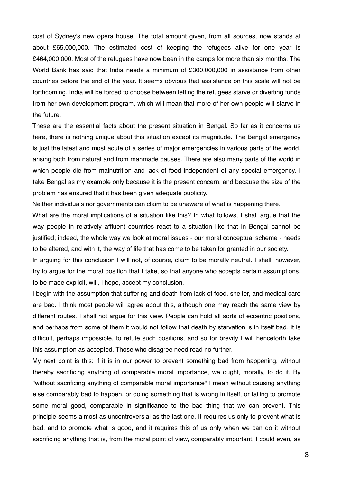cost of Sydney's new opera house. The total amount given, from all sources, now stands at about £65,000,000. The estimated cost of keeping the refugees alive for one year is £464,000,000. Most of the refugees have now been in the camps for more than six months. The World Bank has said that India needs a minimum of £300,000,000 in assistance from other countries before the end of the year. It seems obvious that assistance on this scale will not be forthcoming. India will be forced to choose between letting the refugees starve or diverting funds from her own development program, which will mean that more of her own people will starve in the future.

These are the essential facts about the present situation in Bengal. So far as it concerns us here, there is nothing unique about this situation except its magnitude. The Bengal emergency is just the latest and most acute of a series of major emergencies in various parts of the world, arising both from natural and from manmade causes. There are also many parts of the world in which people die from malnutrition and lack of food independent of any special emergency. I take Bengal as my example only because it is the present concern, and because the size of the problem has ensured that it has been given adequate publicity.

Neither individuals nor governments can claim to be unaware of what is happening there.

What are the moral implications of a situation like this? In what follows, I shall argue that the way people in relatively affluent countries react to a situation like that in Bengal cannot be justified; indeed, the whole way we look at moral issues - our moral conceptual scheme - needs to be altered, and with it, the way of life that has come to be taken for granted in our society.

In arguing for this conclusion I will not, of course, claim to be morally neutral. I shall, however, try to argue for the moral position that I take, so that anyone who accepts certain assumptions, to be made explicit, will, I hope, accept my conclusion.

I begin with the assumption that suffering and death from lack of food, shelter, and medical care are bad. I think most people will agree about this, although one may reach the same view by different routes. I shall not argue for this view. People can hold all sorts of eccentric positions, and perhaps from some of them it would not follow that death by starvation is in itself bad. It is difficult, perhaps impossible, to refute such positions, and so for brevity I will henceforth take this assumption as accepted. Those who disagree need read no further.

My next point is this: if it is in our power to prevent something bad from happening, without thereby sacrificing anything of comparable moral importance, we ought, morally, to do it. By "without sacrificing anything of comparable moral importance" I mean without causing anything else comparably bad to happen, or doing something that is wrong in itself, or failing to promote some moral good, comparable in significance to the bad thing that we can prevent. This principle seems almost as uncontroversial as the last one. It requires us only to prevent what is bad, and to promote what is good, and it requires this of us only when we can do it without sacrificing anything that is, from the moral point of view, comparably important. I could even, as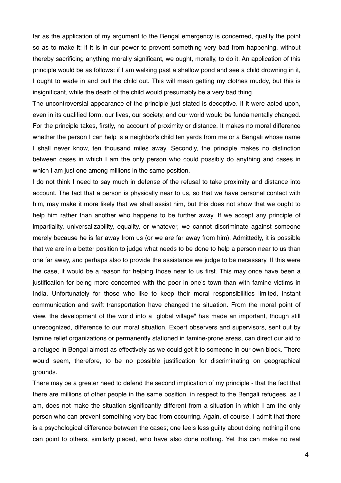far as the application of my argument to the Bengal emergency is concerned, qualify the point so as to make it: if it is in our power to prevent something very bad from happening, without thereby sacrificing anything morally significant, we ought, morally, to do it. An application of this principle would be as follows: if I am walking past a shallow pond and see a child drowning in it, I ought to wade in and pull the child out. This will mean getting my clothes muddy, but this is insignificant, while the death of the child would presumably be a very bad thing.

The uncontroversial appearance of the principle just stated is deceptive. If it were acted upon, even in its qualified form, our lives, our society, and our world would be fundamentally changed. For the principle takes, firstly, no account of proximity or distance. It makes no moral difference whether the person I can help is a neighbor's child ten yards from me or a Bengali whose name I shall never know, ten thousand miles away. Secondly, the principle makes no distinction between cases in which I am the only person who could possibly do anything and cases in which I am just one among millions in the same position.

I do not think I need to say much in defense of the refusal to take proximity and distance into account. The fact that a person is physically near to us, so that we have personal contact with him, may make it more likely that we shall assist him, but this does not show that we ought to help him rather than another who happens to be further away. If we accept any principle of impartiality, universalizability, equality, or whatever, we cannot discriminate against someone merely because he is far away from us (or we are far away from him). Admittedly, it is possible that we are in a better position to judge what needs to be done to help a person near to us than one far away, and perhaps also to provide the assistance we judge to be necessary. If this were the case, it would be a reason for helping those near to us first. This may once have been a justification for being more concerned with the poor in one's town than with famine victims in India. Unfortunately for those who like to keep their moral responsibilities limited, instant communication and swift transportation have changed the situation. From the moral point of view, the development of the world into a "global village" has made an important, though still unrecognized, difference to our moral situation. Expert observers and supervisors, sent out by famine relief organizations or permanently stationed in famine-prone areas, can direct our aid to a refugee in Bengal almost as effectively as we could get it to someone in our own block. There would seem, therefore, to be no possible justification for discriminating on geographical grounds.

There may be a greater need to defend the second implication of my principle - that the fact that there are millions of other people in the same position, in respect to the Bengali refugees, as I am, does not make the situation significantly different from a situation in which I am the only person who can prevent something very bad from occurring. Again, of course, I admit that there is a psychological difference between the cases; one feels less guilty about doing nothing if one can point to others, similarly placed, who have also done nothing. Yet this can make no real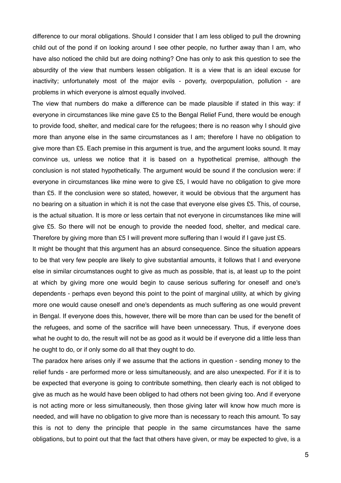difference to our moral obligations. Should I consider that I am less obliged to pull the drowning child out of the pond if on looking around I see other people, no further away than I am, who have also noticed the child but are doing nothing? One has only to ask this question to see the absurdity of the view that numbers lessen obligation. It is a view that is an ideal excuse for inactivity; unfortunately most of the major evils - poverty, overpopulation, pollution - are problems in which everyone is almost equally involved.

The view that numbers do make a difference can be made plausible if stated in this way: if everyone in circumstances like mine gave £5 to the Bengal Relief Fund, there would be enough to provide food, shelter, and medical care for the refugees; there is no reason why I should give more than anyone else in the same circumstances as I am; therefore I have no obligation to give more than £5. Each premise in this argument is true, and the argument looks sound. It may convince us, unless we notice that it is based on a hypothetical premise, although the conclusion is not stated hypothetically. The argument would be sound if the conclusion were: if everyone in circumstances like mine were to give £5, I would have no obligation to give more than £5. If the conclusion were so stated, however, it would be obvious that the argument has no bearing on a situation in which it is not the case that everyone else gives £5. This, of course, is the actual situation. It is more or less certain that not everyone in circumstances like mine will give £5. So there will not be enough to provide the needed food, shelter, and medical care. Therefore by giving more than £5 I will prevent more suffering than I would if I gave just £5.

It might be thought that this argument has an absurd consequence. Since the situation appears to be that very few people are likely to give substantial amounts, it follows that I and everyone else in similar circumstances ought to give as much as possible, that is, at least up to the point at which by giving more one would begin to cause serious suffering for oneself and one's dependents - perhaps even beyond this point to the point of marginal utility, at which by giving more one would cause oneself and one's dependents as much suffering as one would prevent in Bengal. If everyone does this, however, there will be more than can be used for the benefit of the refugees, and some of the sacrifice will have been unnecessary. Thus, if everyone does what he ought to do, the result will not be as good as it would be if everyone did a little less than he ought to do, or if only some do all that they ought to do.

The paradox here arises only if we assume that the actions in question - sending money to the relief funds - are performed more or less simultaneously, and are also unexpected. For if it is to be expected that everyone is going to contribute something, then clearly each is not obliged to give as much as he would have been obliged to had others not been giving too. And if everyone is not acting more or less simultaneously, then those giving later will know how much more is needed, and will have no obligation to give more than is necessary to reach this amount. To say this is not to deny the principle that people in the same circumstances have the same obligations, but to point out that the fact that others have given, or may be expected to give, is a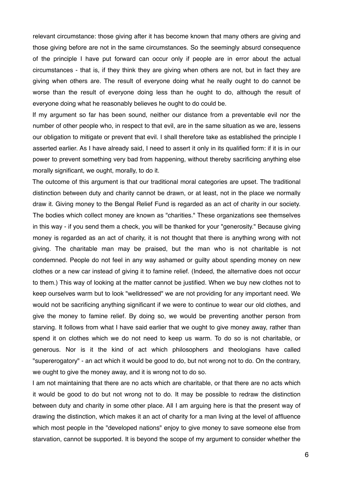relevant circumstance: those giving after it has become known that many others are giving and those giving before are not in the same circumstances. So the seemingly absurd consequence of the principle I have put forward can occur only if people are in error about the actual circumstances - that is, if they think they are giving when others are not, but in fact they are giving when others are. The result of everyone doing what he really ought to do cannot be worse than the result of everyone doing less than he ought to do, although the result of everyone doing what he reasonably believes he ought to do could be.

If my argument so far has been sound, neither our distance from a preventable evil nor the number of other people who, in respect to that evil, are in the same situation as we are, lessens our obligation to mitigate or prevent that evil. I shall therefore take as established the principle I asserted earlier. As I have already said, I need to assert it only in its qualified form: if it is in our power to prevent something very bad from happening, without thereby sacrificing anything else morally significant, we ought, morally, to do it.

The outcome of this argument is that our traditional moral categories are upset. The traditional distinction between duty and charity cannot be drawn, or at least, not in the place we normally draw it. Giving money to the Bengal Relief Fund is regarded as an act of charity in our society. The bodies which collect money are known as "charities." These organizations see themselves in this way - if you send them a check, you will be thanked for your "generosity." Because giving money is regarded as an act of charity, it is not thought that there is anything wrong with not giving. The charitable man may be praised, but the man who is not charitable is not condemned. People do not feel in any way ashamed or guilty about spending money on new clothes or a new car instead of giving it to famine relief. (Indeed, the alternative does not occur to them.) This way of looking at the matter cannot be justified. When we buy new clothes not to keep ourselves warm but to look "welldressed" we are not providing for any important need. We would not be sacrificing anything significant if we were to continue to wear our old clothes, and give the money to famine relief. By doing so, we would be preventing another person from starving. It follows from what I have said earlier that we ought to give money away, rather than spend it on clothes which we do not need to keep us warm. To do so is not charitable, or generous. Nor is it the kind of act which philosophers and theologians have called "supererogatory" - an act which it would be good to do, but not wrong not to do. On the contrary, we ought to give the money away, and it is wrong not to do so.

I am not maintaining that there are no acts which are charitable, or that there are no acts which it would be good to do but not wrong not to do. It may be possible to redraw the distinction between duty and charity in some other place. All I am arguing here is that the present way of drawing the distinction, which makes it an act of charity for a man living at the level of affluence which most people in the "developed nations" enjoy to give money to save someone else from starvation, cannot be supported. It is beyond the scope of my argument to consider whether the